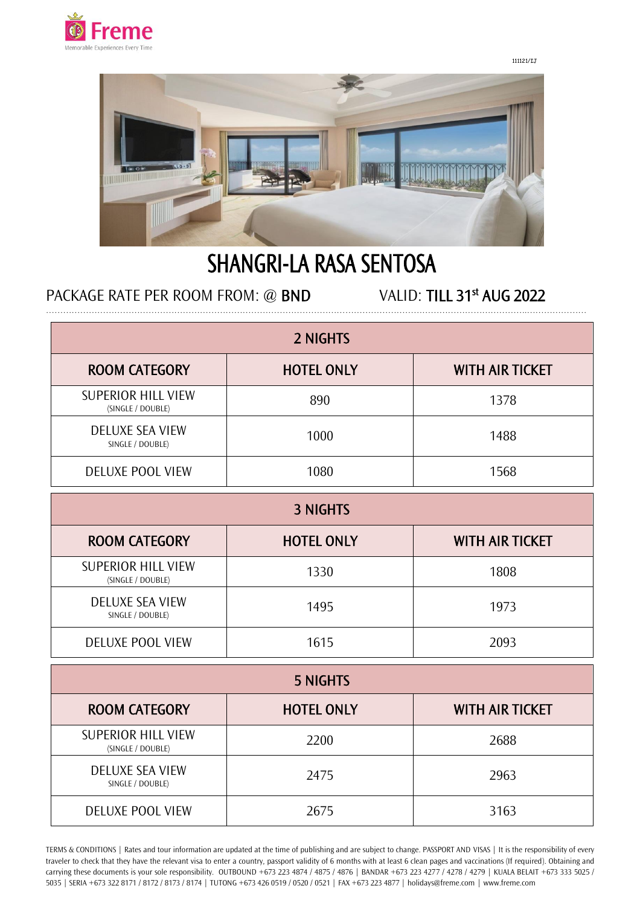

111121/IJ



# SHANGRI-LA RASA SENTOSA

# PACKAGE RATE PER ROOM FROM: @ BND

VALID: TILL 31<sup>st</sup> AUG 2022

| 2 NIGHTS                                       |                   |                        |  |
|------------------------------------------------|-------------------|------------------------|--|
| <b>ROOM CATEGORY</b>                           | <b>HOTEL ONLY</b> | <b>WITH AIR TICKET</b> |  |
| <b>SUPERIOR HILL VIEW</b><br>(SINGLE / DOUBLE) | 890               | 1378                   |  |
| <b>DELUXE SEA VIEW</b><br>SINGLE / DOUBLE)     | 1000              | 1488                   |  |
| <b>DELUXE POOL VIEW</b>                        | 1080              | 1568                   |  |

| <b>3 NIGHTS</b>                                |                   |                        |  |
|------------------------------------------------|-------------------|------------------------|--|
| <b>ROOM CATEGORY</b>                           | <b>HOTEL ONLY</b> | <b>WITH AIR TICKET</b> |  |
| <b>SUPERIOR HILL VIEW</b><br>(SINGLE / DOUBLE) | 1330              | 1808                   |  |
| <b>DELUXE SEA VIEW</b><br>SINGLE / DOUBLE)     | 1495              | 1973                   |  |
| <b>DELUXE POOL VIEW</b>                        | 1615              | 2093                   |  |

| 5 NIGHTS                                       |                   |                        |  |
|------------------------------------------------|-------------------|------------------------|--|
| <b>ROOM CATEGORY</b>                           | <b>HOTEL ONLY</b> | <b>WITH AIR TICKET</b> |  |
| <b>SUPERIOR HILL VIEW</b><br>(SINGLE / DOUBLE) | 2200              | 2688                   |  |
| <b>DELUXE SEA VIEW</b><br>SINGLE / DOUBLE)     | 2475              | 2963                   |  |
| <b>DELUXE POOL VIEW</b>                        | 2675              | 3163                   |  |

TERMS & CONDITIONS | Rates and tour information are updated at the time of publishing and are subject to change. PASSPORT AND VISAS | It is the responsibility of every traveler to check that they have the relevant visa to enter a country, passport validity of 6 months with at least 6 clean pages and vaccinations (If required). Obtaining and carrying these documents is your sole responsibility. OUTBOUND +673 223 4874 / 4875 / 4876 | BANDAR +673 223 4277 / 4278 / 4279 | KUALA BELAIT +673 333 5025 / 5035 | SERIA +673 322 8171 / 8172 / 8173 / 8174 | TUTONG +673 426 0519 / 0520 / 0521 | FAX +673 223 4877 | holidays@freme.com | www.freme.com